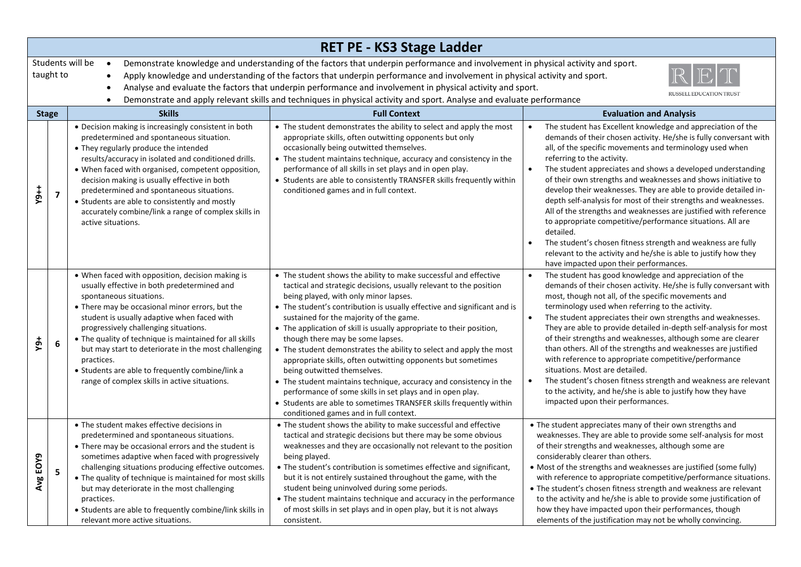|                                                                                                                                                                                                                                                                                                                                                                                                                                                                                                                                                                                                                 | RET PE - KS3 Stage Ladder |                                                                                                                                                                                                                                                                                                                                                                                                                                                                                                             |                                                                                                                                                                                                                                                                                                                                                                                                                                                                                                                                                                                                                                                                                                                                                                                                                                             |                                                                                                                                                                                                                                                                                                                                                                                                                                                                                                                                                                                                                                                                                                                                                                                                                                                        |  |  |  |
|-----------------------------------------------------------------------------------------------------------------------------------------------------------------------------------------------------------------------------------------------------------------------------------------------------------------------------------------------------------------------------------------------------------------------------------------------------------------------------------------------------------------------------------------------------------------------------------------------------------------|---------------------------|-------------------------------------------------------------------------------------------------------------------------------------------------------------------------------------------------------------------------------------------------------------------------------------------------------------------------------------------------------------------------------------------------------------------------------------------------------------------------------------------------------------|---------------------------------------------------------------------------------------------------------------------------------------------------------------------------------------------------------------------------------------------------------------------------------------------------------------------------------------------------------------------------------------------------------------------------------------------------------------------------------------------------------------------------------------------------------------------------------------------------------------------------------------------------------------------------------------------------------------------------------------------------------------------------------------------------------------------------------------------|--------------------------------------------------------------------------------------------------------------------------------------------------------------------------------------------------------------------------------------------------------------------------------------------------------------------------------------------------------------------------------------------------------------------------------------------------------------------------------------------------------------------------------------------------------------------------------------------------------------------------------------------------------------------------------------------------------------------------------------------------------------------------------------------------------------------------------------------------------|--|--|--|
| Students will be<br>Demonstrate knowledge and understanding of the factors that underpin performance and involvement in physical activity and sport.<br>$\bullet$<br>taught to<br>Apply knowledge and understanding of the factors that underpin performance and involvement in physical activity and sport.<br>Analyse and evaluate the factors that underpin performance and involvement in physical activity and sport.<br>$\bullet$<br><b>RUSSELL EDUCATION TRUST</b><br>Demonstrate and apply relevant skills and techniques in physical activity and sport. Analyse and evaluate performance<br>$\bullet$ |                           |                                                                                                                                                                                                                                                                                                                                                                                                                                                                                                             |                                                                                                                                                                                                                                                                                                                                                                                                                                                                                                                                                                                                                                                                                                                                                                                                                                             |                                                                                                                                                                                                                                                                                                                                                                                                                                                                                                                                                                                                                                                                                                                                                                                                                                                        |  |  |  |
|                                                                                                                                                                                                                                                                                                                                                                                                                                                                                                                                                                                                                 | <b>Stage</b>              | <b>Skills</b>                                                                                                                                                                                                                                                                                                                                                                                                                                                                                               | <b>Full Context</b>                                                                                                                                                                                                                                                                                                                                                                                                                                                                                                                                                                                                                                                                                                                                                                                                                         | <b>Evaluation and Analysis</b>                                                                                                                                                                                                                                                                                                                                                                                                                                                                                                                                                                                                                                                                                                                                                                                                                         |  |  |  |
| $Y9++$                                                                                                                                                                                                                                                                                                                                                                                                                                                                                                                                                                                                          | $\overline{7}$            | • Decision making is increasingly consistent in both<br>predetermined and spontaneous situation.<br>• They regularly produce the intended<br>results/accuracy in isolated and conditioned drills.<br>• When faced with organised, competent opposition,<br>decision making is usually effective in both<br>predetermined and spontaneous situations.<br>• Students are able to consistently and mostly<br>accurately combine/link a range of complex skills in<br>active situations.                        | • The student demonstrates the ability to select and apply the most<br>appropriate skills, often outwitting opponents but only<br>occasionally being outwitted themselves.<br>• The student maintains technique, accuracy and consistency in the<br>performance of all skills in set plays and in open play.<br>• Students are able to consistently TRANSFER skills frequently within<br>conditioned games and in full context.                                                                                                                                                                                                                                                                                                                                                                                                             | The student has Excellent knowledge and appreciation of the<br>demands of their chosen activity. He/she is fully conversant with<br>all, of the specific movements and terminology used when<br>referring to the activity.<br>$\bullet$<br>The student appreciates and shows a developed understanding<br>of their own strengths and weaknesses and shows initiative to<br>develop their weaknesses. They are able to provide detailed in-<br>depth self-analysis for most of their strengths and weaknesses.<br>All of the strengths and weaknesses are justified with reference<br>to appropriate competitive/performance situations. All are<br>detailed.<br>The student's chosen fitness strength and weakness are fully<br>$\bullet$<br>relevant to the activity and he/she is able to justify how they<br>have impacted upon their performances. |  |  |  |
| ψęλ                                                                                                                                                                                                                                                                                                                                                                                                                                                                                                                                                                                                             | 6                         | • When faced with opposition, decision making is<br>usually effective in both predetermined and<br>spontaneous situations.<br>• There may be occasional minor errors, but the<br>student is usually adaptive when faced with<br>progressively challenging situations.<br>• The quality of technique is maintained for all skills<br>but may start to deteriorate in the most challenging<br>practices.<br>• Students are able to frequently combine/link a<br>range of complex skills in active situations. | • The student shows the ability to make successful and effective<br>tactical and strategic decisions, usually relevant to the position<br>being played, with only minor lapses.<br>• The student's contribution is usually effective and significant and is<br>sustained for the majority of the game.<br>• The application of skill is usually appropriate to their position,<br>though there may be some lapses.<br>• The student demonstrates the ability to select and apply the most<br>appropriate skills, often outwitting opponents but sometimes<br>being outwitted themselves.<br>• The student maintains technique, accuracy and consistency in the<br>performance of some skills in set plays and in open play.<br>• Students are able to sometimes TRANSFER skills frequently within<br>conditioned games and in full context. | The student has good knowledge and appreciation of the<br>demands of their chosen activity. He/she is fully conversant with<br>most, though not all, of the specific movements and<br>terminology used when referring to the activity.<br>The student appreciates their own strengths and weaknesses.<br>$\bullet$<br>They are able to provide detailed in-depth self-analysis for most<br>of their strengths and weaknesses, although some are clearer<br>than others. All of the strengths and weaknesses are justified<br>with reference to appropriate competitive/performance<br>situations. Most are detailed.<br>$\bullet$<br>The student's chosen fitness strength and weakness are relevant<br>to the activity, and he/she is able to justify how they have<br>impacted upon their performances.                                              |  |  |  |
| Avg EOY9                                                                                                                                                                                                                                                                                                                                                                                                                                                                                                                                                                                                        | 5                         | • The student makes effective decisions in<br>predetermined and spontaneous situations.<br>• There may be occasional errors and the student is<br>sometimes adaptive when faced with progressively<br>challenging situations producing effective outcomes.<br>• The quality of technique is maintained for most skills<br>but may deteriorate in the most challenging<br>practices.<br>• Students are able to frequently combine/link skills in<br>relevant more active situations.                         | • The student shows the ability to make successful and effective<br>tactical and strategic decisions but there may be some obvious<br>weaknesses and they are occasionally not relevant to the position<br>being played.<br>• The student's contribution is sometimes effective and significant,<br>but it is not entirely sustained throughout the game, with the<br>student being uninvolved during some periods.<br>• The student maintains technique and accuracy in the performance<br>of most skills in set plays and in open play, but it is not always<br>consistent.                                                                                                                                                                                                                                                               | • The student appreciates many of their own strengths and<br>weaknesses. They are able to provide some self-analysis for most<br>of their strengths and weaknesses, although some are<br>considerably clearer than others.<br>• Most of the strengths and weaknesses are justified (some fully)<br>with reference to appropriate competitive/performance situations.<br>• The student's chosen fitness strength and weakness are relevant<br>to the activity and he/she is able to provide some justification of<br>how they have impacted upon their performances, though<br>elements of the justification may not be wholly convincing.                                                                                                                                                                                                              |  |  |  |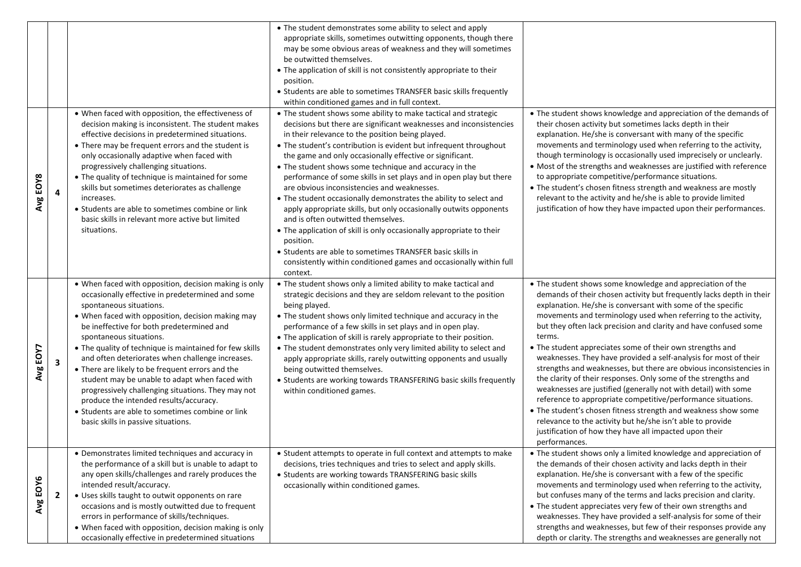|          |              |                                                                                                                                                                                                                                                                                                                                                                                                                                                                                                                                                                                                                                                                                   | • The student demonstrates some ability to select and apply<br>appropriate skills, sometimes outwitting opponents, though there<br>may be some obvious areas of weakness and they will sometimes<br>be outwitted themselves.<br>• The application of skill is not consistently appropriate to their<br>position.<br>• Students are able to sometimes TRANSFER basic skills frequently                                                                                                                                                                                                                                                                                                                                                                                                                                                                                                                                         |                                                                                                                                                                                                                                                                                                                                                                                                                                                                                                                                                                                                                                                                                                                                                                                                                                                                                                                                                                         |
|----------|--------------|-----------------------------------------------------------------------------------------------------------------------------------------------------------------------------------------------------------------------------------------------------------------------------------------------------------------------------------------------------------------------------------------------------------------------------------------------------------------------------------------------------------------------------------------------------------------------------------------------------------------------------------------------------------------------------------|-------------------------------------------------------------------------------------------------------------------------------------------------------------------------------------------------------------------------------------------------------------------------------------------------------------------------------------------------------------------------------------------------------------------------------------------------------------------------------------------------------------------------------------------------------------------------------------------------------------------------------------------------------------------------------------------------------------------------------------------------------------------------------------------------------------------------------------------------------------------------------------------------------------------------------|-------------------------------------------------------------------------------------------------------------------------------------------------------------------------------------------------------------------------------------------------------------------------------------------------------------------------------------------------------------------------------------------------------------------------------------------------------------------------------------------------------------------------------------------------------------------------------------------------------------------------------------------------------------------------------------------------------------------------------------------------------------------------------------------------------------------------------------------------------------------------------------------------------------------------------------------------------------------------|
|          |              |                                                                                                                                                                                                                                                                                                                                                                                                                                                                                                                                                                                                                                                                                   | within conditioned games and in full context.                                                                                                                                                                                                                                                                                                                                                                                                                                                                                                                                                                                                                                                                                                                                                                                                                                                                                 |                                                                                                                                                                                                                                                                                                                                                                                                                                                                                                                                                                                                                                                                                                                                                                                                                                                                                                                                                                         |
| Avg EOY8 | 4            | • When faced with opposition, the effectiveness of<br>decision making is inconsistent. The student makes<br>effective decisions in predetermined situations.<br>• There may be frequent errors and the student is<br>only occasionally adaptive when faced with<br>progressively challenging situations.<br>• The quality of technique is maintained for some<br>skills but sometimes deteriorates as challenge<br>increases.<br>• Students are able to sometimes combine or link<br>basic skills in relevant more active but limited<br>situations.                                                                                                                              | • The student shows some ability to make tactical and strategic<br>decisions but there are significant weaknesses and inconsistencies<br>in their relevance to the position being played.<br>• The student's contribution is evident but infrequent throughout<br>the game and only occasionally effective or significant.<br>• The student shows some technique and accuracy in the<br>performance of some skills in set plays and in open play but there<br>are obvious inconsistencies and weaknesses.<br>• The student occasionally demonstrates the ability to select and<br>apply appropriate skills, but only occasionally outwits opponents<br>and is often outwitted themselves.<br>• The application of skill is only occasionally appropriate to their<br>position.<br>• Students are able to sometimes TRANSFER basic skills in<br>consistently within conditioned games and occasionally within full<br>context. | • The student shows knowledge and appreciation of the demands of<br>their chosen activity but sometimes lacks depth in their<br>explanation. He/she is conversant with many of the specific<br>movements and terminology used when referring to the activity,<br>though terminology is occasionally used imprecisely or unclearly.<br>• Most of the strengths and weaknesses are justified with reference<br>to appropriate competitive/performance situations.<br>• The student's chosen fitness strength and weakness are mostly<br>relevant to the activity and he/she is able to provide limited<br>justification of how they have impacted upon their performances.                                                                                                                                                                                                                                                                                                |
| Avg EOV7 | 3            | • When faced with opposition, decision making is only<br>occasionally effective in predetermined and some<br>spontaneous situations.<br>• When faced with opposition, decision making may<br>be ineffective for both predetermined and<br>spontaneous situations.<br>• The quality of technique is maintained for few skills<br>and often deteriorates when challenge increases.<br>• There are likely to be frequent errors and the<br>student may be unable to adapt when faced with<br>progressively challenging situations. They may not<br>produce the intended results/accuracy.<br>• Students are able to sometimes combine or link<br>basic skills in passive situations. | • The student shows only a limited ability to make tactical and<br>strategic decisions and they are seldom relevant to the position<br>being played.<br>• The student shows only limited technique and accuracy in the<br>performance of a few skills in set plays and in open play.<br>• The application of skill is rarely appropriate to their position.<br>. The student demonstrates only very limited ability to select and<br>apply appropriate skills, rarely outwitting opponents and usually<br>being outwitted themselves.<br>• Students are working towards TRANSFERING basic skills frequently<br>within conditioned games.                                                                                                                                                                                                                                                                                      | • The student shows some knowledge and appreciation of the<br>demands of their chosen activity but frequently lacks depth in their<br>explanation. He/she is conversant with some of the specific<br>movements and terminology used when referring to the activity,<br>but they often lack precision and clarity and have confused some<br>terms.<br>• The student appreciates some of their own strengths and<br>weaknesses. They have provided a self-analysis for most of their<br>strengths and weaknesses, but there are obvious inconsistencies in<br>the clarity of their responses. Only some of the strengths and<br>weaknesses are justified (generally not with detail) with some<br>reference to appropriate competitive/performance situations.<br>• The student's chosen fitness strength and weakness show some<br>relevance to the activity but he/she isn't able to provide<br>justification of how they have all impacted upon their<br>performances. |
| Avg EOY6 | $\mathbf{2}$ | • Demonstrates limited techniques and accuracy in<br>the performance of a skill but is unable to adapt to<br>any open skills/challenges and rarely produces the<br>intended result/accuracy.<br>• Uses skills taught to outwit opponents on rare<br>occasions and is mostly outwitted due to frequent<br>errors in performance of skills/techniques.<br>• When faced with opposition, decision making is only<br>occasionally effective in predetermined situations                                                                                                                                                                                                               | • Student attempts to operate in full context and attempts to make<br>decisions, tries techniques and tries to select and apply skills.<br>• Students are working towards TRANSFERING basic skills<br>occasionally within conditioned games.                                                                                                                                                                                                                                                                                                                                                                                                                                                                                                                                                                                                                                                                                  | • The student shows only a limited knowledge and appreciation of<br>the demands of their chosen activity and lacks depth in their<br>explanation. He/she is conversant with a few of the specific<br>movements and terminology used when referring to the activity,<br>but confuses many of the terms and lacks precision and clarity.<br>• The student appreciates very few of their own strengths and<br>weaknesses. They have provided a self-analysis for some of their<br>strengths and weaknesses, but few of their responses provide any<br>depth or clarity. The strengths and weaknesses are generally not                                                                                                                                                                                                                                                                                                                                                     |